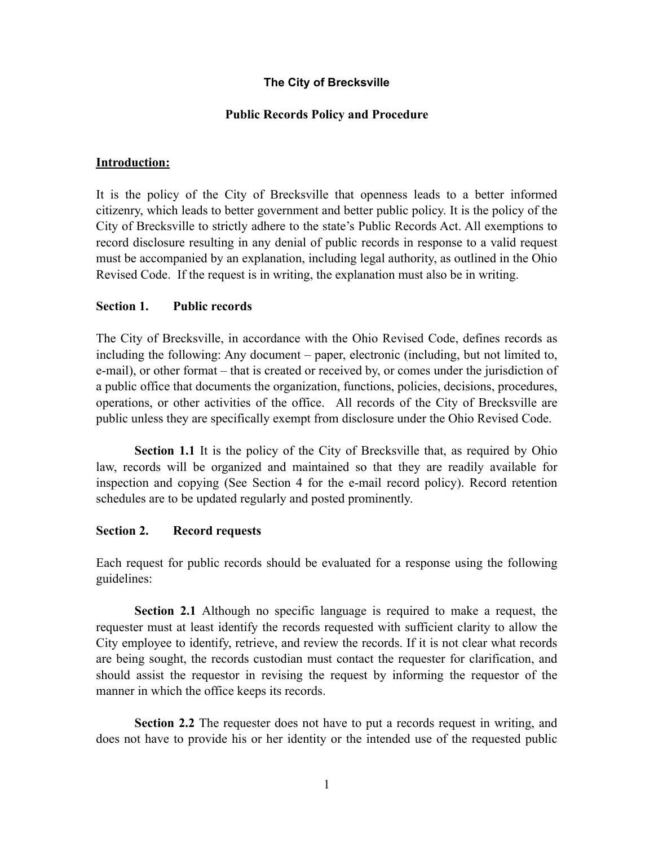# **The City of Brecksville**

## **Public Records Policy and Procedure**

#### **Introduction:**

It is the policy of the City of Brecksville that openness leads to a better informed citizenry, which leads to better government and better public policy. It is the policy of the City of Brecksville to strictly adhere to the state's Public Records Act. All exemptions to record disclosure resulting in any denial of public records in response to a valid request must be accompanied by an explanation, including legal authority, as outlined in the Ohio Revised Code. If the request is in writing, the explanation must also be in writing.

## **Section 1. Public records**

The City of Brecksville, in accordance with the Ohio Revised Code, defines records as including the following: Any document – paper, electronic (including, but not limited to, e-mail), or other format – that is created or received by, or comes under the jurisdiction of a public office that documents the organization, functions, policies, decisions, procedures, operations, or other activities of the office. All records of the City of Brecksville are public unless they are specifically exempt from disclosure under the Ohio Revised Code.

**Section 1.1** It is the policy of the City of Brecksville that, as required by Ohio law, records will be organized and maintained so that they are readily available for inspection and copying (See Section 4 for the e-mail record policy). Record retention schedules are to be updated regularly and posted prominently.

#### **Section 2. Record requests**

Each request for public records should be evaluated for a response using the following guidelines:

**Section 2.1** Although no specific language is required to make a request, the requester must at least identify the records requested with sufficient clarity to allow the City employee to identify, retrieve, and review the records. If it is not clear what records are being sought, the records custodian must contact the requester for clarification, and should assist the requestor in revising the request by informing the requestor of the manner in which the office keeps its records.

**Section 2.2** The requester does not have to put a records request in writing, and does not have to provide his or her identity or the intended use of the requested public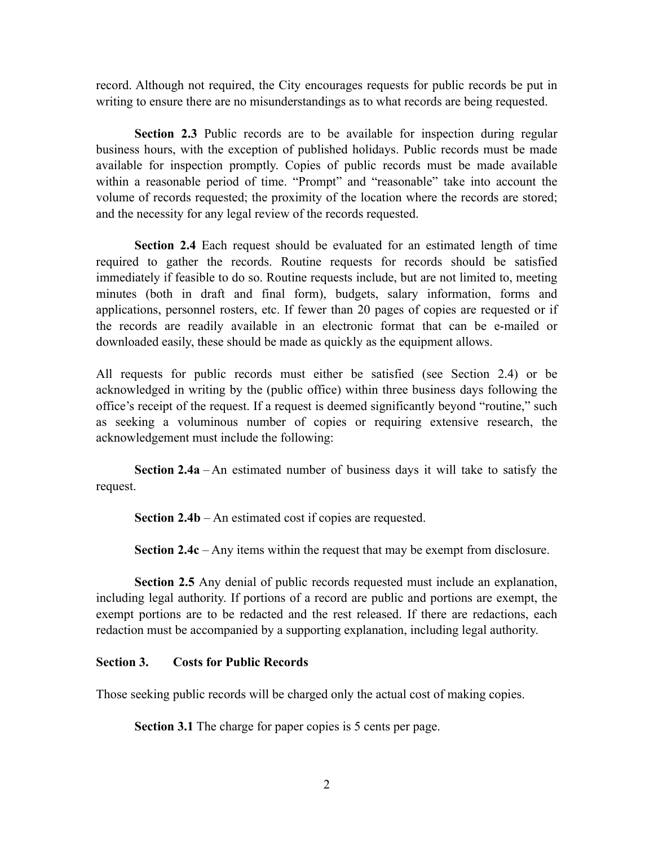record. Although not required, the City encourages requests for public records be put in writing to ensure there are no misunderstandings as to what records are being requested.

**Section 2.3** Public records are to be available for inspection during regular business hours, with the exception of published holidays. Public records must be made available for inspection promptly. Copies of public records must be made available within a reasonable period of time. "Prompt" and "reasonable" take into account the volume of records requested; the proximity of the location where the records are stored; and the necessity for any legal review of the records requested.

**Section 2.4** Each request should be evaluated for an estimated length of time required to gather the records. Routine requests for records should be satisfied immediately if feasible to do so. Routine requests include, but are not limited to, meeting minutes (both in draft and final form), budgets, salary information, forms and applications, personnel rosters, etc. If fewer than 20 pages of copies are requested or if the records are readily available in an electronic format that can be e-mailed or downloaded easily, these should be made as quickly as the equipment allows.

All requests for public records must either be satisfied (see Section 2.4) or be acknowledged in writing by the (public office) within three business days following the office's receipt of the request. If a request is deemed significantly beyond "routine," such as seeking a voluminous number of copies or requiring extensive research, the acknowledgement must include the following:

**Section 2.4a** – An estimated number of business days it will take to satisfy the request.

**Section 2.4b** – An estimated cost if copies are requested.

**Section 2.4c** – Any items within the request that may be exempt from disclosure.

**Section 2.5** Any denial of public records requested must include an explanation, including legal authority. If portions of a record are public and portions are exempt, the exempt portions are to be redacted and the rest released. If there are redactions, each redaction must be accompanied by a supporting explanation, including legal authority.

#### **Section 3. Costs for Public Records**

Those seeking public records will be charged only the actual cost of making copies.

**Section 3.1** The charge for paper copies is 5 cents per page.